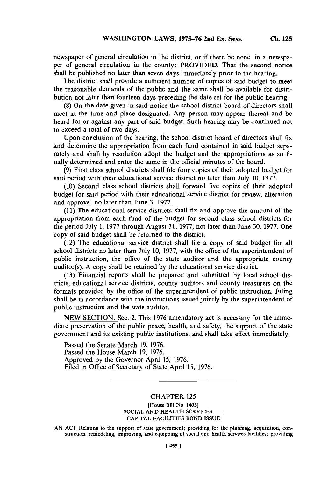newspaper of general circulation in the district, or if there be none, in a newspaper of general circulation in the county: PROVIDED, That the second notice shall be published no later than seven days inmnediately prior to the hearing.

The district shall provide a sufficient number of copies of said budget to meet the reasonable demands of the public and the same shall be available for distribution not later than fourteen days preceding the date set for the public hearing.

**(8)** On the date given in said notice the school district board of directors shall meet at the time and place designated. Any person may appear thereat and be heard for or against any part of said budget. Such hearing may be continued not to exceed a total of two days.

Upon conclusion of the hearing, the school district board of directors shall fix and determine the appropriation from each fund contained **in** said budget separately and shall **by** resolution adopt the budget and the appropriations as so **fi**nally determined and enter the same in the official minutes of the board.

**(9)** First class school districts shall file four copies of their adopted budget for said period with their educational service district no later than July **10, 1977.**

**(10)** Second class school districts shall forward five copies of their adopted budget for said period with their educational service district for review, alteration and approval no later than June **3, 1977.**

**(11)** The educational service districts shall fix and approve the amount of the appropriation from each fund of the budget for second class school districts for the period July **1, 1977** through August **31, 1977,** not later than June **30, 1977.** One copy of said budget shall be returned to the district.

(12) The educational service district shall file a copy of said budget for all school districts no later than July **10, 1977,** with the office of the superintendent of public instruction, the office of the state auditor and the appropriate county auditor(s). **A** copy shall be retained **by** the educational service district.

**(13)** Financial reports shall be prep ared and submitted **by** local school districts, educational service districts, county auditors and county treasurers on the formats provided **by** the office of the superintendent of public instruction. Filing shall be in accordance with the instructions issued jointly **by** the superintendent of public instruction and the state auditor.

**NEW** SECTION. Sec. 2. This **1976** amendatory act is necessary for the immediate preservation of the public peace, health, and safety, the support of the state government and its existing public institutions, and shall take effect immediately.

Passed the Senate March **19, 1976.** Passed the House March **19, 1976.** Approved **by** the Governor April **15, 1976.** Filed in Office of Secretary of State April *15,* **1976.**

## CHAPTER **125**

**[House Bill No. 1403] SOCIAL AND HEALTH SERVICES-CAPITAL FACILITIES BOND ISSUE**

**AN ACT Relating to the support of state government; providing for the planning, acquisition, con- struction, remodeling, improving, and equipping of social and health services facilities; providing**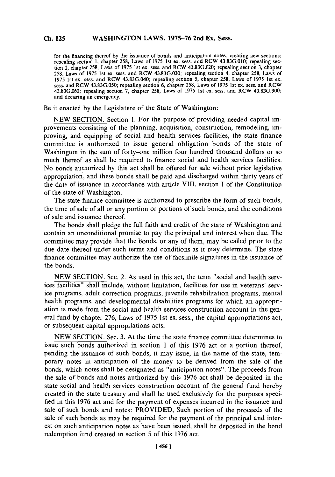for the financing thereof **by** the issuance of bonds and anticipation notes; creating new sections; repealing section **1,** chapter **258,** Laws of **1975** 1st ex. sess. and RCW **43.83G.010;** repealing section 2, chapter **258,** Laws of **1975** 1st ex. sess. and RCW **43.83G.020;** repealing section **3,** chapter **258,** Laws of **1975** 1st ex. sess. and RCW **43.83G.030;** repealing section 4, chapter **258,** Laws of **1975** 1st ex. sess. and RCW 43.83G.040; repealing section **5,** chapter **258,** Laws of **1975** 1st ex. sess. and RCW **43.83G.050;** repealing section **6,** chapter *258,* Laws of **1975** 1st ex. sess. and RCW **43.83G.060;** repealing section **7,** chapter **258,** Laws of **1975** 1st ex. sess. and RCW **43.83G.900;** and declaring an emergency.

Be it enacted **by** the Legislature of the State of Washington:

**NEW SECTION.** Section **1.** For the purpose of providing needed capital improvements consisting of the planning, acquisition, construction, remodeling, improving, and equipping of social and health services facilities, the state finance committee is authorized to issue general obligation bonds of the state of Washington in the sum of forty-one million four hundred thousand dollars or so much thereof as shall be required to finance social and health services facilities. No bonds authorized **by** this act shall be offered for sale without prior legislative appropriation, and these bonds shall be paid and discharged within thirty years of the date of issuance in accordance with article VIII, section **I** of the Constitution of the state of Washington.

The state finance committee is authorized to prescribe the form of such bonds, the time of sale of all or any portion or portions of such bonds, and the conditions of sale and issuance thereof.

The bonds shall pledge the full faith and credit of the state of Washington and contain an unconditional promise to pay the principal and interest when due. The committee may provide that the bonds, or any of them, may be called prior to the due date thereof under such terms and conditions as it may determine. The state finance committee may authorize the use of facsimile signatures in the issuance of the bonds.

**NEW SECTION.** Sec. 2. As used in this act, the term "social and health services facilities" shall include, without limitation, facilities for use in veterans' service programs, adult correction programs, juvenile rehabilitation programs, mental health programs, and developmental disabilities programs for which an appropriation is made from the social and health services construction account in the general fund **by** chapter **276,** Laws of **1975** 1st ex. sess., the capital appropriations act, or subsequent capital appropriations acts.

**NEW SECTION.** Sec. **3.** At the time the state finance committee determines to issue such bonds authorized in section 1 of this **1976** act or a portion thereof, pending the issuance of such bonds, it may issue, in the name of the state, temporary notes in anticipation of the money to be derived from the sale of the bonds, which notes shall be designated as "anticipation notes". The proceeds from the sale of bonds and notes authorized **by** this **1976** act shall be deposited in the state social and health services construction account of the general fund hereby created in the state treasury and shall be used exclusively for the purposes specified in this **1976** act and for the payment of expenses incurred in the issuance and sale of such bonds and notes: PROVIDED, Such portion of the proceeds of the sale of such bonds as may be required for the payment of the principal and interest on such anticipation notes as have been issued, shall be deposited in the bond redemption fund created in section **5** of this **1976** act.